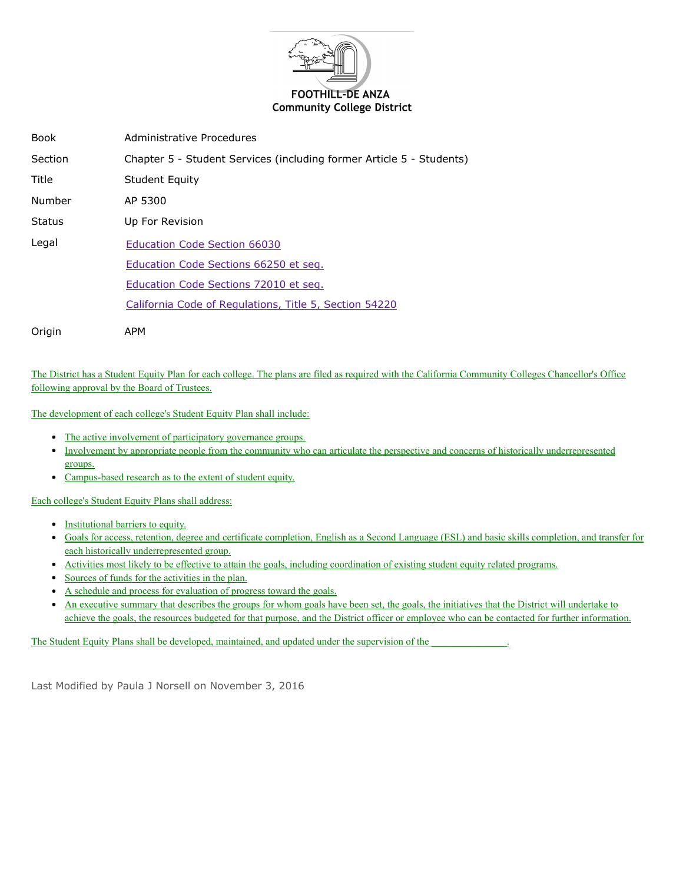

| <b>Book</b>   | Administrative Procedures                                            |
|---------------|----------------------------------------------------------------------|
| Section       | Chapter 5 - Student Services (including former Article 5 - Students) |
| Title         | <b>Student Equity</b>                                                |
| Number        | AP 5300                                                              |
| <b>Status</b> | Up For Revision                                                      |
| Legal         | Education Code Section 66030                                         |
|               | Education Code Sections 66250 et seg.                                |
|               | Education Code Sections 72010 et seg.                                |
|               | California Code of Regulations, Title 5, Section 54220               |
| Origin        | APM                                                                  |

The District has a Student Equity Plan for each college. The plans are filed as required with the California Community Colleges Chancellor's Office following approval by the Board of Trustees.

The development of each college's Student Equity Plan shall include:

- The active involvement of participatory governance groups.
- Involvement by appropriate people from the community who can articulate the perspective and concerns of historically underrepresented groups.
- Campus-based research as to the extent of student equity.

Each college's Student Equity Plans shall address:

- Institutional barriers to equity.
- Goals for access, retention, degree and certificate completion, English as a Second Language (ESL) and basic skills completion, and transfer for each historically underrepresented group.
- Activities most likely to be effective to attain the goals, including coordination of existing student equity related programs.
- Sources of funds for the activities in the plan.
- A schedule and process for evaluation of progress toward the goals.
- An executive summary that describes the groups for whom goals have been set, the goals, the initiatives that the District will undertake to achieve the goals, the resources budgeted for that purpose, and the District officer or employee who can be contacted for further information.

The Student Equity Plans shall be developed, maintained, and updated under the supervision of the

Last Modified by Paula J Norsell on November 3, 2016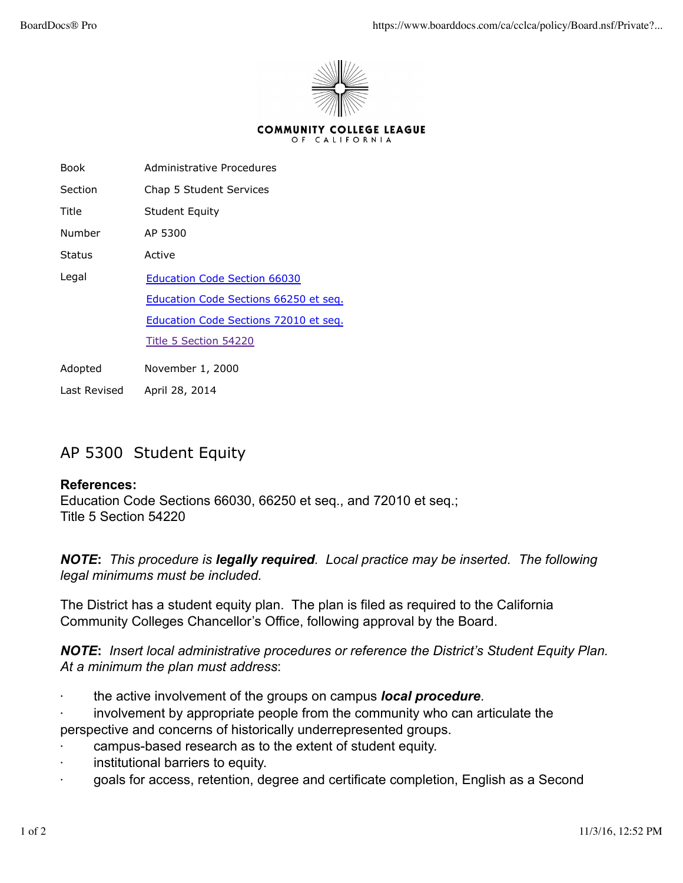

| Book    | Administrative Procedures             |
|---------|---------------------------------------|
| Section | Chap 5 Student Services               |
| Title   | <b>Student Equity</b>                 |
| Number  | AP 5300                               |
| Status  | Active                                |
| Legal   | <b>Education Code Section 66030</b>   |
|         | Education Code Sections 66250 et seq. |
|         | Education Code Sections 72010 et seq. |
|         | Title 5 Section 54220                 |
| Adopted | November 1, 2000                      |

Last Revised April 28, 2014

## AP 5300 Student Equity

## **References:**

Education Code Sections 66030, 66250 et seq., and 72010 et seq.; Title 5 Section 54220

## *NOTE***:** *This procedure is legally required. Local practice may be inserted. The following legal minimums must be included.*

The District has a student equity plan. The plan is filed as required to the California Community Colleges Chancellor's Office, following approval by the Board.

*NOTE***:** *Insert local administrative procedures or reference the District's Student Equity Plan. At a minimum the plan must address*:

- · the active involvement of the groups on campus *local procedure*.
- involvement by appropriate people from the community who can articulate the perspective and concerns of historically underrepresented groups.
- campus-based research as to the extent of student equity.
- · institutional barriers to equity.
- · goals for access, retention, degree and certificate completion, English as a Second